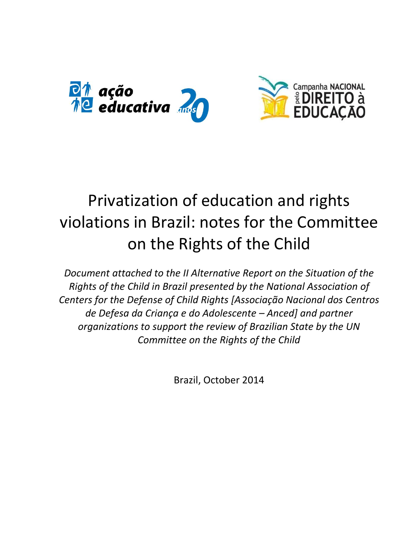

# Privatization of education and rights violations in Brazil: notes for the Committee on the Rights of the Child

*Document attached to the II Alternative Report on the Situation of the Rights of the Child in Brazil presented by the National Association of Centers for the Defense of Child Rights [Associação Nacional dos Centros de Defesa da Criança e do Adolescente – Anced] and partner organizations to support the review of Brazilian State by the UN Committee on the Rights of the Child*

Brazil, October 2014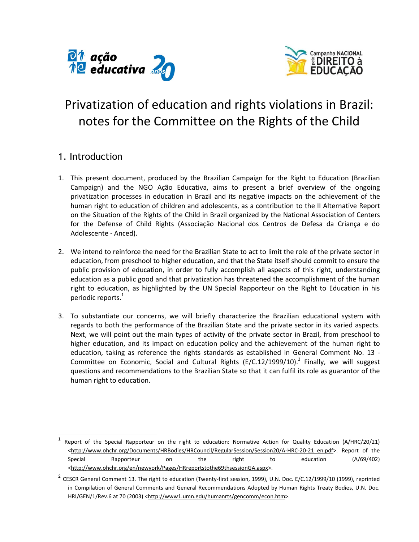



## Privatization of education and rights violations in Brazil: notes for the Committee on the Rights of the Child

## 1. Introduction

 $\overline{a}$ 

- 1. This present document, produced by the Brazilian Campaign for the Right to Education (Brazilian Campaign) and the NGO Ação Educativa, aims to present a brief overview of the ongoing privatization processes in education in Brazil and its negative impacts on the achievement of the human right to education of children and adolescents, as a contribution to the II Alternative Report on the Situation of the Rights of the Child in Brazil organized by the National Association of Centers for the Defense of Child Rights (Associação Nacional dos Centros de Defesa da Criança e do Adolescente - Anced).
- 2. We intend to reinforce the need for the Brazilian State to act to limit the role of the private sector in education, from preschool to higher education, and that the State itself should commit to ensure the public provision of education, in order to fully accomplish all aspects of this right, understanding education as a public good and that privatization has threatened the accomplishment of the human right to education, as highlighted by the UN Special Rapporteur on the Right to Education in his periodic reports.<sup>1</sup>
- 3. To substantiate our concerns, we will briefly characterize the Brazilian educational system with regards to both the performance of the Brazilian State and the private sector in its varied aspects. Next, we will point out the main types of activity of the private sector in Brazil, from preschool to higher education, and its impact on education policy and the achievement of the human right to education, taking as reference the rights standards as established in General Comment No. 13 - Committee on Economic, Social and Cultural Rights (E/C.12/1999/10).<sup>2</sup> Finally, we will suggest questions and recommendations to the Brazilian State so that it can fulfil its role as guarantor of the human right to education.

<sup>1</sup> Report of the Special Rapporteur on the right to education: Normative Action for Quality Education (A/HRC/20/21) [<http://www.ohchr.org/Documents/HRBodies/HRCouncil/RegularSession/Session20/A-HRC-20-21\\_en.pdf>](http://www.ohchr.org/Documents/HRBodies/HRCouncil/RegularSession/Session20/A-HRC-20-21_en.pdf). Report of the Special Rapporteur on the right to education (A/69/402) [<http://www.ohchr.org/en/newyork/Pages/HRreportstothe69thsessionGA.aspx>](http://www.ohchr.org/en/newyork/Pages/HRreportstothe69thsessionGA.aspx).

 $^2$  CESCR General Comment 13. The right to education (Twenty-first session, 1999), U.N. Doc. E/C.12/1999/10 (1999), reprinted in Compilation of General Comments and General Recommendations Adopted by Human Rights Treaty Bodies, U.N. Doc. HRI/GEN/1/Rev.6 at 70 (2003) [<http://www1.umn.edu/humanrts/gencomm/econ.htm>](http://www1.umn.edu/humanrts/gencomm/econ.htm).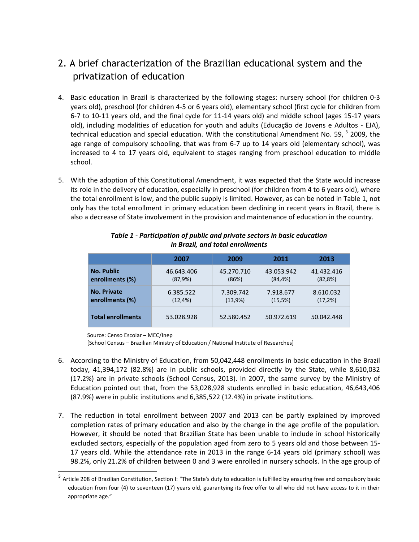## 2. A brief characterization of the Brazilian educational system and the privatization of education

- 4. Basic education in Brazil is characterized by the following stages: nursery school (for children 0-3 years old), preschool (for children 4-5 or 6 years old), elementary school (first cycle for children from 6-7 to 10-11 years old, and the final cycle for 11-14 years old) and middle school (ages 15-17 years old), including modalities of education for youth and adults (Educação de Jovens e Adultos - EJA), technical education and special education. With the constitutional Amendment No. 59,  $^3$  2009, the age range of compulsory schooling, that was from 6-7 up to 14 years old (elementary school), was increased to 4 to 17 years old, equivalent to stages ranging from preschool education to middle school.
- 5. With the adoption of this Constitutional Amendment, it was expected that the State would increase its role in the delivery of education, especially in preschool (for children from 4 to 6 years old), where the total enrollment is low, and the public supply is limited. However, as can be noted in Table 1, not only has the total enrollment in primary education been declining in recent years in Brazil, there is also a decrease of State involvement in the provision and maintenance of education in the country.

|                          | 2007        | 2009       | 2011        | 2013       |
|--------------------------|-------------|------------|-------------|------------|
| <b>No. Public</b>        | 46.643.406  | 45.270.710 | 43.053.942  | 41.432.416 |
| enrollments (%)          | (87,9%)     | (86%)      | $(84, 4\%)$ | (82,8%)    |
| <b>No. Private</b>       | 6.385.522   | 7.309.742  | 7.918.677   | 8.610.032  |
| enrollments (%)          | $(12, 4\%)$ | (13,9%)    | (15,5%)     | (17,2%)    |
| <b>Total enrollments</b> | 53.028.928  | 52.580.452 | 50.972.619  | 50.042.448 |

#### *Table 1 - Participation of public and private sectors in basic education in Brazil, and total enrollments*

Source: Censo Escolar – MEC/Inep

[School Census – Brazilian Ministry of Education / National Institute of Researches]

- 6. According to the Ministry of Education, from 50,042,448 enrollments in basic education in the Brazil today, 41,394,172 (82.8%) are in public schools, provided directly by the State, while 8,610,032 (17.2%) are in private schools (School Census, 2013). In 2007, the same survey by the Ministry of Education pointed out that, from the 53,028,928 students enrolled in basic education, 46,643,406 (87.9%) were in public institutions and 6,385,522 (12.4%) in private institutions.
- 7. The reduction in total enrollment between 2007 and 2013 can be partly explained by improved completion rates of primary education and also by the change in the age profile of the population. However, it should be noted that Brazilian State has been unable to include in school historically excluded sectors, especially of the population aged from zero to 5 years old and those between 15- 17 years old. While the attendance rate in 2013 in the range 6-14 years old (primary school) was 98.2%, only 21.2% of children between 0 and 3 were enrolled in nursery schools. In the age group of

 $^3$  Article 208 of Brazilian Constitution, Section I: "The State's duty to education is fulfilled by ensuring free and compulsory basic education from four (4) to seventeen (17) years old, guarantying its free offer to all who did not have access to it in their appropriate age."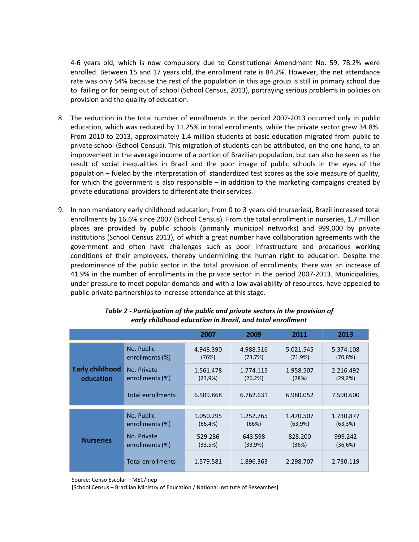4-6 years old, which is now compulsory due to Constitutional Amendment No. 59, 78.2% were enrolled. Between 15 and 17 years old, the enrollment rate is 84.2%. However, the net attendance rate was only 54% because the rest of the population in this age group is still in primary school due to failing or for being out of school (School Census, 2013), portraying serious problems in policies on provision and the quality of education.

- 8. The reduction in the total number of enrollments in the period 2007-2013 occurred only in public education, which was reduced by 11.25% in total enrollments, while the private sector grew 34.8%. From 2010 to 2013, approximately 1.4 million students at basic education migrated from public to private school (School Census). This migration of students can be attributed, on the one hand, to an improvement in the average income of a portion of Brazilian population, but can also be seen as the result of social inequalities in Brazil and the poor image of public schools in the eyes of the population – fueled by the interpretation of standardized test scores as the sole measure of quality, for which the government is also responsible – in addition to the marketing campaigns created by private educational providers to differentiate their services.
- 9. In non mandatory early childhood education, from 0 to 3 years old (nurseries), Brazil increased total enrollments by 16.6% since 2007 (School Census). From the total enrollment in nurseries, 1.7 million places are provided by public schools (primarily municipal networks) and 999,000 by private institutions (School Census 2013), of which a great number have collaboration agreements with the government and often have challenges such as poor infrastructure and precarious working conditions of their employees, thereby undermining the human right to education. Despite the predominance of the public sector in the total provision of enrollments, there was an increase of 41.9% in the number of enrollments in the private sector in the period 2007-2013. Municipalities, under pressure to meet popular demands and with a low availability of resources, have appealed to public-private partnerships to increase attendance at this stage.

|                                     |                                | 2007                   | 2009                  | 2011                 | 2013                     |  |
|-------------------------------------|--------------------------------|------------------------|-----------------------|----------------------|--------------------------|--|
| <b>Early childhood</b><br>education | No. Public<br>enrollments (%)  | 4.948.390<br>(76%)     | 4.988.516<br>(73,7%)  | 5.021.545<br>(71,9%) | 5.374.108<br>$(70, 8\%)$ |  |
|                                     | No. Private<br>enrollments (%) | 1.561.478<br>(23,9%)   | 1.774.115<br>(26, 2%) | 1.958.507<br>(28%)   | 2.216.492<br>(29,2%)     |  |
|                                     | <b>Total enrollments</b>       | 6.509.868              | 6.762.631             | 6.980.052            | 7.590.600                |  |
| <b>Nurseries</b>                    | No. Public<br>enrollments (%)  | 1.050.295              | 1.252.765<br>(66%)    | 1.470.507            | 1.730.877<br>(63,3%)     |  |
|                                     | No. Private                    | $(66, 4\%)$<br>529.286 | 643.598               | (63,9%)<br>828.200   | 999.242                  |  |
|                                     | enrollments (%)                | (33,5%)                | (33,9%)               | (36%)                | (36,6%)                  |  |
|                                     | <b>Total enrollments</b>       | 1.579.581              | 1.896.363             | 2.298.707            | 2.730.119                |  |

#### *Table 2 - Participation of the public and private sectors in the provision of early childhood education in Brazil, and total enrollment*

Source: Censo Escolar – MEC/Inep

[School Census – Brazilian Ministry of Education / National Institute of Researches]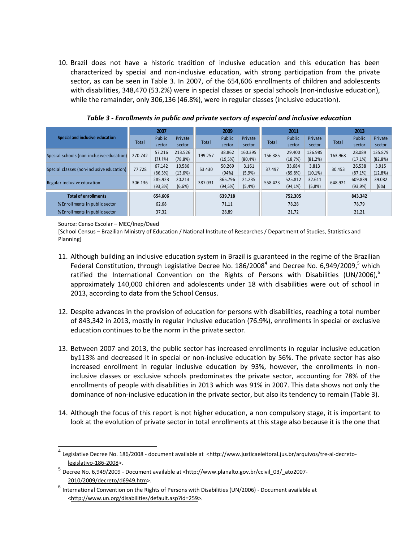10. Brazil does not have a historic tradition of inclusive education and this education has been characterized by special and non-inclusive education, with strong participation from the private sector, as can be seen in Table 3. In 2007, of the 654,606 enrollments of children and adolescents with disabilities, 348,470 (53.2%) were in special classes or special schools (non-inclusive education), while the remainder, only 306,136 (46.8%), were in regular classes (inclusive education).

| Special and inclusive education           | 2007    |             | 2009        |         | 2011    |          |         | 2013    |         |         |             |             |
|-------------------------------------------|---------|-------------|-------------|---------|---------|----------|---------|---------|---------|---------|-------------|-------------|
|                                           | Total   | Public      | Private     | Total   | Public  | Private  | Total   | Public  | Private | Total   | Public      | Private     |
|                                           |         | sector      | sector      |         | sector  | sector   |         | sector  | sector  |         | sector      | sector      |
| Special schools (non-inclusive education) | 270.742 | 57.216      | 213.526     | 199.257 | 38.862  | 160.395  | 156.385 | 29.400  | 126.985 | 163.968 | 28.089      | 135.879     |
|                                           |         | $(21, 1\%)$ | $(78, 8\%)$ |         | (19,5%) | (80, 4%) |         | (18,7%) | (81,2%) |         | (17,1%)     | $(82, 8\%)$ |
| Special classes (non-inclusive education) | 77.728  | 67.142      | 10.586      | 53.430  | 50.269  | 3.161    | 37.497  | 33.684  | 3.813   | 30.453  | 26.538      | 3.915       |
|                                           |         | (86,3%)     | (13,6%)     |         | (94%)   | (5,9%    |         | (89,8%) | (10,1%) |         | $(87, 1\%)$ | (12,8%)     |
| Regular inclusive education               | 306.136 | 285.923     | 20.213      | 387.031 | 365.796 | 21.235   | 558.423 | 525.812 | 32.611  | 648.921 | 609.839     | 39.082      |
|                                           |         | (93,3%)     | (6,6%)      |         | (94,5%) | (5,4% )  |         | (94,1%) | (5,8%)  |         | (93,9%)     | (6%)        |
| <b>Total of enrollments</b>               | 654.606 |             | 639.718     |         | 752.305 |          |         | 843.342 |         |         |             |             |
| % Enrollments in public sector            | 62,68   |             | 71,11       |         | 78,28   |          | 78,79   |         |         |         |             |             |
| % Enrollments in public sector            | 37,32   |             | 28,89       |         | 21,72   |          | 21,21   |         |         |         |             |             |

*Table 3 - Enrollments in public and private sectors of especial and inclusive education*

Source: Censo Escolar – MEC/Inep/Deed

 $\overline{a}$ 

[School Census – Brazilian Ministry of Education / National Institute of Researches / Department of Studies, Statistics and Planning]

- 11. Although building an inclusive education system in Brazil is guaranteed in the regime of the Brazilian Federal Constitution, through Legislative Decree No.  $186/2008^4$  and Decree No. 6,949/2009,<sup>5</sup> which ratified the International Convention on the Rights of Persons with Disabilities (UN/2006),<sup>6</sup> approximately 140,000 children and adolescents under 18 with disabilities were out of school in 2013, according to data from the School Census.
- 12. Despite advances in the provision of education for persons with disabilities, reaching a total number of 843,342 in 2013, mostly in regular inclusive education (76.9%), enrollments in special or exclusive education continues to be the norm in the private sector.
- 13. Between 2007 and 2013, the public sector has increased enrollments in regular inclusive education by113% and decreased it in special or non-inclusive education by 56%. The private sector has also increased enrollment in regular inclusive education by 93%, however, the enrollments in noninclusive classes or exclusive schools predominates the private sector, accounting for 78% of the enrollments of people with disabilities in 2013 which was 91% in 2007. This data shows not only the dominance of non-inclusive education in the private sector, but also its tendency to remain (Table 3).
- 14. Although the focus of this report is not higher education, a non compulsory stage, it is important to look at the evolution of private sector in total enrollments at this stage also because it is the one that

<sup>&</sup>lt;sup>4</sup> Legislative Decree No. 186/2008 - document available at [<http://www.justicaeleitoral.jus.br/arquivos/tre-al-decreto](http://www.justicaeleitoral.jus.br/arquivos/tre-al-decreto-legislativo-186-2008)[legislativo-186-2008>](http://www.justicaeleitoral.jus.br/arquivos/tre-al-decreto-legislativo-186-2008).

<sup>&</sup>lt;sup>5</sup> Decree No. 6,949/2009 - Document available at [<http://www.planalto.gov.br/ccivil\\_03/\\_ato2007-](http://www.planalto.gov.br/ccivil_03/_ato2007-2010/2009/decreto/d6949.htm) [2010/2009/decreto/d6949.htm>](http://www.planalto.gov.br/ccivil_03/_ato2007-2010/2009/decreto/d6949.htm).

 $^6$  International Convention on the Rights of Persons with Disabilities (UN/2006) - Document available at [<http://www.un.org/disabilities/default.asp?id=259>](http://www.un.org/disabilities/default.asp?id=259).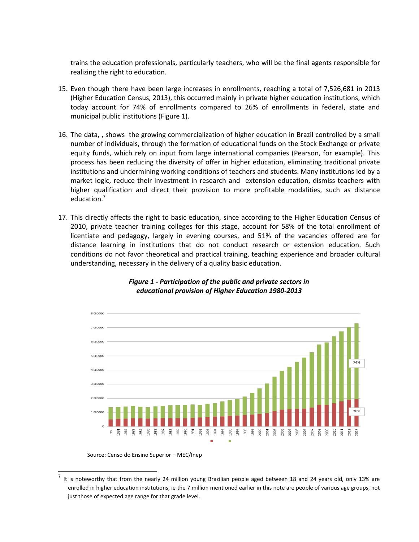trains the education professionals, particularly teachers, who will be the final agents responsible for realizing the right to education.

- 15. Even though there have been large increases in enrollments, reaching a total of 7,526,681 in 2013 (Higher Education Census, 2013), this occurred mainly in private higher education institutions, which today account for 74% of enrollments compared to 26% of enrollments in federal, state and municipal public institutions (Figure 1).
- 16. The data, , shows the growing commercialization of higher education in Brazil controlled by a small number of individuals, through the formation of educational funds on the Stock Exchange or private equity funds, which rely on input from large international companies (Pearson, for example). This process has been reducing the diversity of offer in higher education, eliminating traditional private institutions and undermining working conditions of teachers and students. Many institutions led by a market logic, reduce their investment in research and extension education, dismiss teachers with higher qualification and direct their provision to more profitable modalities, such as distance education.<sup>7</sup>
- 17. This directly affects the right to basic education, since according to the Higher Education Census of 2010, private teacher training colleges for this stage, account for 58% of the total enrollment of licentiate and pedagogy, largely in evening courses, and 51% of the vacancies offered are for distance learning in institutions that do not conduct research or extension education. Such conditions do not favor theoretical and practical training, teaching experience and broader cultural understanding, necessary in the delivery of a quality basic education.



#### *Figure 1 - Participation of the public and private sectors in educational provision of Higher Education 1980-2013*

Source: Censo do Ensino Superior – MEC/Inep

<sup>7</sup> It is noteworthy that from the nearly 24 million young Brazilian people aged between 18 and 24 years old, only 13% are enrolled in higher education institutions, ie the 7 million mentioned earlier in this note are people of various age groups, not just those of expected age range for that grade level.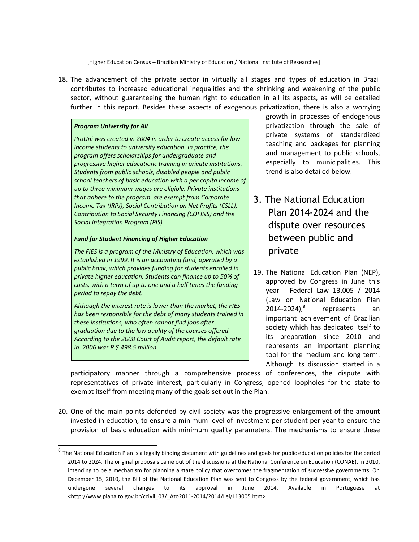[Higher Education Census – Brazilian Ministry of Education / National Institute of Researches]

18. The advancement of the private sector in virtually all stages and types of education in Brazil contributes to increased educational inequalities and the shrinking and weakening of the public sector, without guaranteeing the human right to education in all its aspects, as will be detailed further in this report. Besides these aspects of exogenous privatization, there is also a worrying

#### *Program University for All*

*ProUni was created in 2004 in order to create access for lowincome students to university education. In practice, the program offers scholarships for undergraduate and progressive higher educationc training in private institutions. Students from public schools, disabled people and public school teachers of basic education with a per capita income of up to three minimum wages are eligible. Private institutions that adhere to the program are exempt from Corporate Income Tax (IRPJ), Social Contribution on Net Profits (CSLL), Contribution to Social Security Financing (COFINS) and the Social Integration Program (PIS).*

#### *Fund for Student Financing of Higher Education*

*The FIES is a program of the Ministry of Education, which was established in 1999. It is an accounting fund, operated by a public bank, which provides funding for students enrolled in private higher education. Students can finance up to 50% of costs, with a term of up to one and a half times the funding period to repay the debt.*

*Although the interest rate is lower than the market, the FIES has been responsible for the debt of many students trained in these institutions, who often cannot find jobs after graduation due to the low quality of the courses offered. According to the 2008 Court of Audit report, the default rate in 2006 was R \$ 498.5 million.*

growth in processes of endogenous privatization through the sale of private systems of standardized teaching and packages for planning and management to public schools, especially to municipalities. This trend is also detailed below.

- 3. The National Education Plan 2014-2024 and the dispute over resources between public and private
- 19. The National Education Plan (NEP), approved by Congress in June this year - Federal Law 13,005 / 2014 (Law on National Education Plan  $2014 - 2024$ <sub>,</sub> $8$ represents an important achievement of Brazilian society which has dedicated itself to its preparation since 2010 and represents an important planning tool for the medium and long term. Although its discussion started in a

participatory manner through a comprehensive process of conferences, the dispute with representatives of private interest, particularly in Congress, opened loopholes for the state to exempt itself from meeting many of the goals set out in the Plan.

20. One of the main points defended by civil society was the progressive enlargement of the amount invested in education, to ensure a minimum level of investment per student per year to ensure the provision of basic education with minimum quality parameters. The mechanisms to ensure these

**EXENDED THE NATION IS A THE SETTM TO A THE SETTM OF THE SETTM OF THE SETTM**<br><sup>8</sup> The National Education Plan is a legally binding document with guidelines and goals for public education policies for the period 2014 to 2024. The original proposals came out of the discussions at the National Conference on Education (CONAE), in 2010, intending to be a mechanism for planning a state policy that overcomes the fragmentation of successive governments. On December 15, 2010, the Bill of the National Education Plan was sent to Congress by the federal government, which has undergone several changes to its approval in June 2014. Available in Portuguese at [<http://www.planalto.gov.br/ccivil\\_03/\\_Ato2011-2014/2014/Lei/L13005.htm>](http://www.planalto.gov.br/ccivil_03/_Ato2011-2014/2014/Lei/L13005.htm)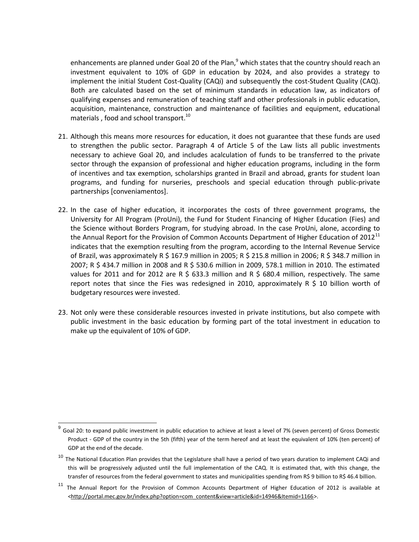enhancements are planned under Goal 20 of the Plan, $9$  which states that the country should reach an investment equivalent to 10% of GDP in education by 2024, and also provides a strategy to implement the initial Student Cost-Quality (CAQi) and subsequently the cost-Student Quality (CAQ). Both are calculated based on the set of minimum standards in education law, as indicators of qualifying expenses and remuneration of teaching staff and other professionals in public education, acquisition, maintenance, construction and maintenance of facilities and equipment, educational materials, food and school transport.<sup>10</sup>

- 21. Although this means more resources for education, it does not guarantee that these funds are used to strengthen the public sector. Paragraph 4 of Article 5 of the Law lists all public investments necessary to achieve Goal 20, and includes acalculation of funds to be transferred to the private sector through the expansion of professional and higher education programs, including in the form of incentives and tax exemption, scholarships granted in Brazil and abroad, grants for student loan programs, and funding for nurseries, preschools and special education through public-private partnerships [conveniamentos].
- 22. In the case of higher education, it incorporates the costs of three government programs, the University for All Program (ProUni), the Fund for Student Financing of Higher Education (Fies) and the Science without Borders Program, for studying abroad. In the case ProUni, alone, according to the Annual Report for the Provision of Common Accounts Department of Higher Education of 2012 $^{11}$ indicates that the exemption resulting from the program, according to the Internal Revenue Service of Brazil, was approximately R \$ 167.9 million in 2005; R \$ 215.8 million in 2006; R \$ 348.7 million in 2007; R \$ 434.7 million in 2008 and R \$ 530.6 million in 2009, 578.1 million in 2010. The estimated values for 2011 and for 2012 are R \$ 633.3 million and R \$ 680.4 million, respectively. The same report notes that since the Fies was redesigned in 2010, approximately R  $\frac{1}{2}$  10 billion worth of budgetary resources were invested.
- 23. Not only were these considerable resources invested in private institutions, but also compete with public investment in the basic education by forming part of the total investment in education to make up the equivalent of 10% of GDP.

 9 Goal 20: to expand public investment in public education to achieve at least a level of 7% (seven percent) of Gross Domestic Product - GDP of the country in the 5th (fifth) year of the term hereof and at least the equivalent of 10% (ten percent) of GDP at the end of the decade.

 $10$  The National Education Plan provides that the Legislature shall have a period of two years duration to implement CAQi and this will be progressively adjusted until the full implementation of the CAQ. It is estimated that, with this change, the transfer of resources from the federal government to states and municipalities spending from R\$ 9 billion to R\$ 46.4 billion.

<sup>&</sup>lt;sup>11</sup> The Annual Report for the Provision of Common Accounts Department of Higher Education of 2012 is available at [<http://portal.mec.gov.br/index.php?option=com\\_content&view=article&id=14946&Itemid=1166>](http://portal.mec.gov.br/index.php?option=com_content&view=article&id=14946&Itemid=1166).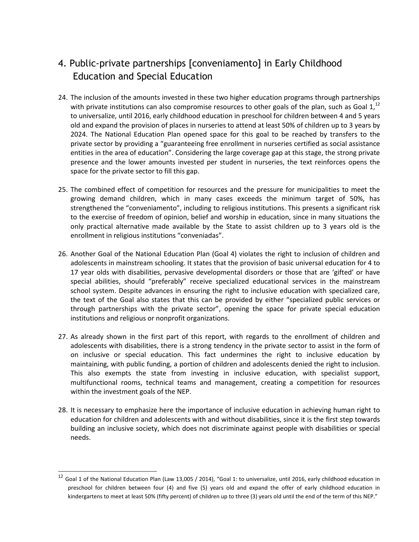## 4. Public-private partnerships [conveniamento] in Early Childhood Education and Special Education

- 24. The inclusion of the amounts invested in these two higher education programs through partnerships with private institutions can also compromise resources to other goals of the plan, such as Goal  $1$ ,  $^{12}$ to universalize, until 2016, early childhood education in preschool for children between 4 and 5 years old and expand the provision of places in nurseries to attend at least 50% of children up to 3 years by 2024. The National Education Plan opened space for this goal to be reached by transfers to the private sector by providing a "guaranteeing free enrollment in nurseries certified as social assistance entities in the area of education". Considering the large coverage gap at this stage, the strong private presence and the lower amounts invested per student in nurseries, the text reinforces opens the space for the private sector to fill this gap.
- 25. The combined effect of competition for resources and the pressure for municipalities to meet the growing demand children, which in many cases exceeds the minimum target of 50%, has strengthened the "conveniamento", including to religious institutions. This presents a significant risk to the exercise of freedom of opinion, belief and worship in education, since in many situations the only practical alternative made available by the State to assist children up to 3 years old is the enrollment in religious institutions "conveniadas".
- 26. Another Goal of the National Education Plan (Goal 4) violates the right to inclusion of children and adolescents in mainstream schooling. It states that the provision of basic universal education for 4 to 17 year olds with disabilities, pervasive developmental disorders or those that are 'gifted' or have special abilities, should "preferably" receive specialized educational services in the mainstream school system. Despite advances in ensuring the right to inclusive education with specialized care, the text of the Goal also states that this can be provided by either "specialized public services or through partnerships with the private sector", opening the space for private special education institutions and religious or nonprofit organizations.
- 27. As already shown in the first part of this report, with regards to the enrollment of children and adolescents with disabilities, there is a strong tendency in the private sector to assist in the form of on inclusive or special education. This fact undermines the right to inclusive education by maintaining, with public funding, a portion of children and adolescents denied the right to inclusion. This also exempts the state from investing in inclusive education, with specialist support, multifunctional rooms, technical teams and management, creating a competition for resources within the investment goals of the NEP.
- 28. It is necessary to emphasize here the importance of inclusive education in achieving human right to education for children and adolescents with and without disabilities, since it is the first step towards building an inclusive society, which does not discriminate against people with disabilities or special needs.

 $12$  Goal 1 of the National Education Plan (Law 13,005 / 2014), "Goal 1: to universalize, until 2016, early childhood education in preschool for children between four (4) and five (5) years old and expand the offer of early childhood education in kindergartens to meet at least 50% (fifty percent) of children up to three (3) years old until the end of the term of this NEP."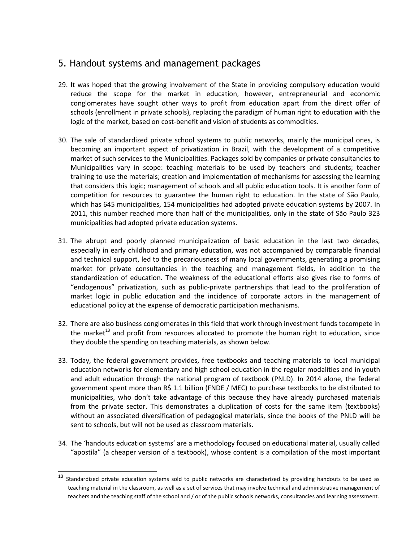## 5. Handout systems and management packages

- 29. It was hoped that the growing involvement of the State in providing compulsory education would reduce the scope for the market in education, however, entrepreneurial and economic conglomerates have sought other ways to profit from education apart from the direct offer of schools (enrollment in private schools), replacing the paradigm of human right to education with the logic of the market, based on cost-benefit and vision of students as commodities.
- 30. The sale of standardized private school systems to public networks, mainly the municipal ones, is becoming an important aspect of privatization in Brazil, with the development of a competitive market of such services to the Municipalities. Packages sold by companies or private consultancies to Municipalities vary in scope: teaching materials to be used by teachers and students; teacher training to use the materials; creation and implementation of mechanisms for assessing the learning that considers this logic; management of schools and all public education tools. It is another form of competition for resources to guarantee the human right to education. In the state of São Paulo, which has 645 municipalities, 154 municipalities had adopted private education systems by 2007. In 2011, this number reached more than half of the municipalities, only in the state of São Paulo 323 municipalities had adopted private education systems.
- 31. The abrupt and poorly planned municipalization of basic education in the last two decades, especially in early childhood and primary education, was not accompanied by comparable financial and technical support, led to the precariousness of many local governments, generating a promising market for private consultancies in the teaching and management fields, in addition to the standardization of education. The weakness of the educational efforts also gives rise to forms of "endogenous" privatization, such as public-private partnerships that lead to the proliferation of market logic in public education and the incidence of corporate actors in the management of educational policy at the expense of democratic participation mechanisms.
- 32. There are also business conglomerates in this field that work through investment funds tocompete in the market<sup>13</sup> and profit from resources allocated to promote the human right to education, since they double the spending on teaching materials, as shown below.
- 33. Today, the federal government provides, free textbooks and teaching materials to local municipal education networks for elementary and high school education in the regular modalities and in youth and adult education through the national program of textbook (PNLD). In 2014 alone, the federal government spent more than R\$ 1.1 billion (FNDE / MEC) to purchase textbooks to be distributed to municipalities, who don't take advantage of this because they have already purchased materials from the private sector. This demonstrates a duplication of costs for the same item (textbooks) without an associated diversification of pedagogical materials, since the books of the PNLD will be sent to schools, but will not be used as classroom materials.
- 34. The 'handouts education systems' are a methodology focused on educational material, usually called "apostila" (a cheaper version of a textbook), whose content is a compilation of the most important

<sup>&</sup>lt;sup>13</sup> Standardized private education systems sold to public networks are characterized by providing handouts to be used as teaching material in the classroom, as well as a set of services that may involve technical and administrative management of teachers and the teaching staff of the school and / or of the public schools networks, consultancies and learning assessment.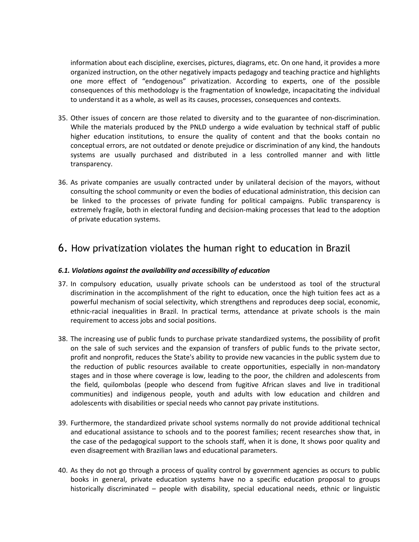information about each discipline, exercises, pictures, diagrams, etc. On one hand, it provides a more organized instruction, on the other negatively impacts pedagogy and teaching practice and highlights one more effect of "endogenous" privatization. According to experts, one of the possible consequences of this methodology is the fragmentation of knowledge, incapacitating the individual to understand it as a whole, as well as its causes, processes, consequences and contexts.

- 35. Other issues of concern are those related to diversity and to the guarantee of non-discrimination. While the materials produced by the PNLD undergo a wide evaluation by technical staff of public higher education institutions, to ensure the quality of content and that the books contain no conceptual errors, are not outdated or denote prejudice or discrimination of any kind, the handouts systems are usually purchased and distributed in a less controlled manner and with little transparency.
- 36. As private companies are usually contracted under by unilateral decision of the mayors, without consulting the school community or even the bodies of educational administration, this decision can be linked to the processes of private funding for political campaigns. Public transparency is extremely fragile, both in electoral funding and decision-making processes that lead to the adoption of private education systems.

## 6. How privatization violates the human right to education in Brazil

#### *6.1. Violations against the availability and accessibility of education*

- 37. In compulsory education, usually private schools can be understood as tool of the structural discrimination in the accomplishment of the right to education, once the high tuition fees act as a powerful mechanism of social selectivity, which strengthens and reproduces deep social, economic, ethnic-racial inequalities in Brazil. In practical terms, attendance at private schools is the main requirement to access jobs and social positions.
- 38. The increasing use of public funds to purchase private standardized systems, the possibility of profit on the sale of such services and the expansion of transfers of public funds to the private sector, profit and nonprofit, reduces the State's ability to provide new vacancies in the public system due to the reduction of public resources available to create opportunities, especially in non-mandatory stages and in those where coverage is low, leading to the poor, the children and adolescents from the field, quilombolas (people who descend from fugitive African slaves and live in traditional communities) and indigenous people, youth and adults with low education and children and adolescents with disabilities or special needs who cannot pay private institutions.
- 39. Furthermore, the standardized private school systems normally do not provide additional technical and educational assistance to schools and to the poorest families; recent researches show that, in the case of the pedagogical support to the schools staff, when it is done, It shows poor quality and even disagreement with Brazilian laws and educational parameters.
- 40. As they do not go through a process of quality control by government agencies as occurs to public books in general, private education systems have no a specific education proposal to groups historically discriminated – people with disability, special educational needs, ethnic or linguistic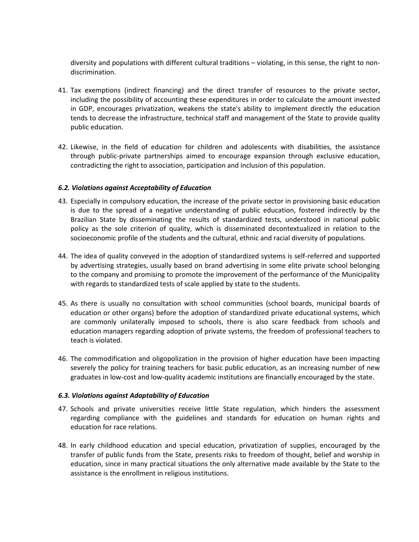diversity and populations with different cultural traditions – violating, in this sense, the right to nondiscrimination.

- 41. Tax exemptions (indirect financing) and the direct transfer of resources to the private sector, including the possibility of accounting these expenditures in order to calculate the amount invested in GDP, encourages privatization, weakens the state's ability to implement directly the education tends to decrease the infrastructure, technical staff and management of the State to provide quality public education.
- 42. Likewise, in the field of education for children and adolescents with disabilities, the assistance through public-private partnerships aimed to encourage expansion through exclusive education, contradicting the right to association, participation and inclusion of this population.

#### *6.2. Violations against Acceptability of Education*

- 43. Especially in compulsory education, the increase of the private sector in provisioning basic education is due to the spread of a negative understanding of public education, fostered indirectly by the Brazilian State by disseminating the results of standardized tests, understood in national public policy as the sole criterion of quality, which is disseminated decontextualized in relation to the socioeconomic profile of the students and the cultural, ethnic and racial diversity of populations.
- 44. The idea of quality conveyed in the adoption of standardized systems is self-referred and supported by advertising strategies, usually based on brand advertising in some elite private school belonging to the company and promising to promote the improvement of the performance of the Municipality with regards to standardized tests of scale applied by state to the students.
- 45. As there is usually no consultation with school communities (school boards, municipal boards of education or other organs) before the adoption of standardized private educational systems, which are commonly unilaterally imposed to schools, there is also scare feedback from schools and education managers regarding adoption of private systems, the freedom of professional teachers to teach is violated.
- 46. The commodification and oligopolization in the provision of higher education have been impacting severely the policy for training teachers for basic public education, as an increasing number of new graduates in low-cost and low-quality academic institutions are financially encouraged by the state.

#### *6.3. Violations against Adaptability of Education*

- 47. Schools and private universities receive little State regulation, which hinders the assessment regarding compliance with the guidelines and standards for education on human rights and education for race relations.
- 48. In early childhood education and special education, privatization of supplies, encouraged by the transfer of public funds from the State, presents risks to freedom of thought, belief and worship in education, since in many practical situations the only alternative made available by the State to the assistance is the enrollment in religious institutions.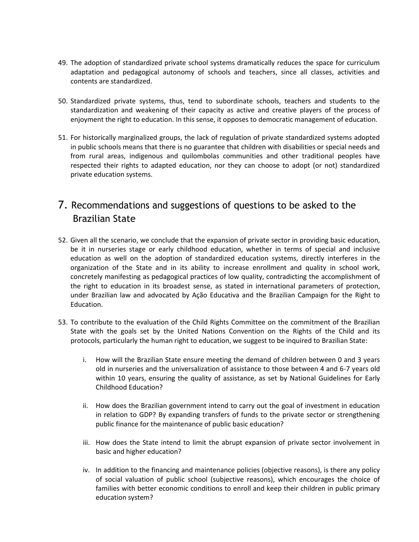- 49. The adoption of standardized private school systems dramatically reduces the space for curriculum adaptation and pedagogical autonomy of schools and teachers, since all classes, activities and contents are standardized.
- 50. Standardized private systems, thus, tend to subordinate schools, teachers and students to the standardization and weakening of their capacity as active and creative players of the process of enjoyment the right to education. In this sense, it opposes to democratic management of education.
- 51. For historically marginalized groups, the lack of regulation of private standardized systems adopted in public schools means that there is no guarantee that children with disabilities or special needs and from rural areas, indigenous and quilombolas communities and other traditional peoples have respected their rights to adapted education, nor they can choose to adopt (or not) standardized private education systems.

## 7. Recommendations and suggestions of questions to be asked to the Brazilian State

- 52. Given all the scenario, we conclude that the expansion of private sector in providing basic education, be it in nurseries stage or early childhood education, whether in terms of special and inclusive education as well on the adoption of standardized education systems, directly interferes in the organization of the State and in its ability to increase enrollment and quality in school work, concretely manifesting as pedagogical practices of low quality, contradicting the accomplishment of the right to education in its broadest sense, as stated in international parameters of protection, under Brazilian law and advocated by Ação Educativa and the Brazilian Campaign for the Right to Education.
- 53. To contribute to the evaluation of the Child Rights Committee on the commitment of the Brazilian State with the goals set by the United Nations Convention on the Rights of the Child and its protocols, particularly the human right to education, we suggest to be inquired to Brazilian State:
	- i. How will the Brazilian State ensure meeting the demand of children between 0 and 3 years old in nurseries and the universalization of assistance to those between 4 and 6-7 years old within 10 years, ensuring the quality of assistance, as set by National Guidelines for Early Childhood Education?
	- ii. How does the Brazilian government intend to carry out the goal of investment in education in relation to GDP? By expanding transfers of funds to the private sector or strengthening public finance for the maintenance of public basic education?
	- iii. How does the State intend to limit the abrupt expansion of private sector involvement in basic and higher education?
	- iv. In addition to the financing and maintenance policies (objective reasons), is there any policy of social valuation of public school (subjective reasons), which encourages the choice of families with better economic conditions to enroll and keep their children in public primary education system?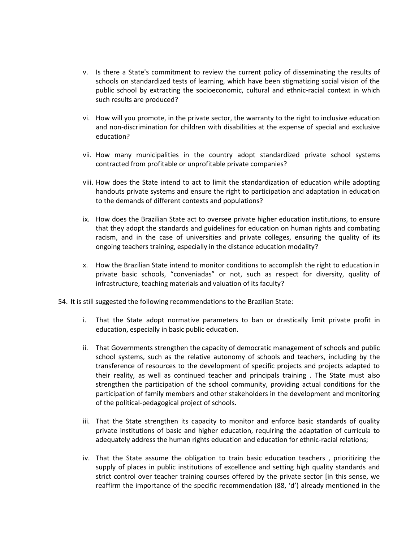- v. Is there a State's commitment to review the current policy of disseminating the results of schools on standardized tests of learning, which have been stigmatizing social vision of the public school by extracting the socioeconomic, cultural and ethnic-racial context in which such results are produced?
- vi. How will you promote, in the private sector, the warranty to the right to inclusive education and non-discrimination for children with disabilities at the expense of special and exclusive education?
- vii. How many municipalities in the country adopt standardized private school systems contracted from profitable or unprofitable private companies?
- viii. How does the State intend to act to limit the standardization of education while adopting handouts private systems and ensure the right to participation and adaptation in education to the demands of different contexts and populations?
- ix. How does the Brazilian State act to oversee private higher education institutions, to ensure that they adopt the standards and guidelines for education on human rights and combating racism, and in the case of universities and private colleges, ensuring the quality of its ongoing teachers training, especially in the distance education modality?
- x. How the Brazilian State intend to monitor conditions to accomplish the right to education in private basic schools, "conveniadas" or not, such as respect for diversity, quality of infrastructure, teaching materials and valuation of its faculty?
- 54. It is still suggested the following recommendations to the Brazilian State:
	- i. That the State adopt normative parameters to ban or drastically limit private profit in education, especially in basic public education.
	- ii. That Governments strengthen the capacity of democratic management of schools and public school systems, such as the relative autonomy of schools and teachers, including by the transference of resources to the development of specific projects and projects adapted to their reality, as well as continued teacher and principals training . The State must also strengthen the participation of the school community, providing actual conditions for the participation of family members and other stakeholders in the development and monitoring of the political-pedagogical project of schools.
	- iii. That the State strengthen its capacity to monitor and enforce basic standards of quality private institutions of basic and higher education, requiring the adaptation of curricula to adequately address the human rights education and education for ethnic-racial relations;
	- iv. That the State assume the obligation to train basic education teachers , prioritizing the supply of places in public institutions of excellence and setting high quality standards and strict control over teacher training courses offered by the private sector [in this sense, we reaffirm the importance of the specific recommendation (88, 'd') already mentioned in the